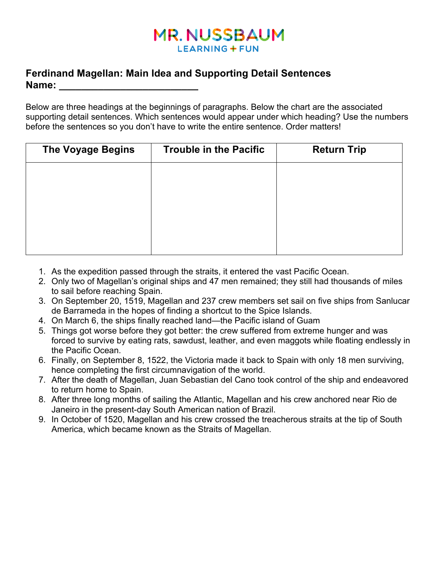# **MR. NUSSBAUM LEARNING + FUN**

### **Ferdinand Magellan: Main Idea and Supporting Detail Sentences Name: \_\_\_\_\_\_\_\_\_\_\_\_\_\_\_\_\_\_\_\_\_\_\_\_\_**

Below are three headings at the beginnings of paragraphs. Below the chart are the associated supporting detail sentences. Which sentences would appear under which heading? Use the numbers before the sentences so you don't have to write the entire sentence. Order matters!

| <b>The Voyage Begins</b> | <b>Trouble in the Pacific</b> | <b>Return Trip</b> |
|--------------------------|-------------------------------|--------------------|
|                          |                               |                    |
|                          |                               |                    |
|                          |                               |                    |
|                          |                               |                    |
|                          |                               |                    |

- 1. As the expedition passed through the straits, it entered the vast Pacific Ocean.
- 2. Only two of Magellan's original ships and 47 men remained; they still had thousands of miles to sail before reaching Spain.
- 3. On September 20, 1519, Magellan and 237 crew members set sail on five ships from Sanlucar de Barrameda in the hopes of finding a shortcut to the Spice Islands.
- 4. On March 6, the ships finally reached land—the Pacific island of Guam
- 5. Things got worse before they got better: the crew suffered from extreme hunger and was forced to survive by eating rats, sawdust, leather, and even maggots while floating endlessly in the Pacific Ocean.
- 6. Finally, on September 8, 1522, the Victoria made it back to Spain with only 18 men surviving, hence completing the first circumnavigation of the world.
- 7. After the death of Magellan, Juan Sebastian del Cano took control of the ship and endeavored to return home to Spain.
- 8. After three long months of sailing the Atlantic, Magellan and his crew anchored near Rio de Janeiro in the present-day South American nation of Brazil.
- 9. In October of 1520, Magellan and his crew crossed the treacherous straits at the tip of South America, which became known as the Straits of Magellan.